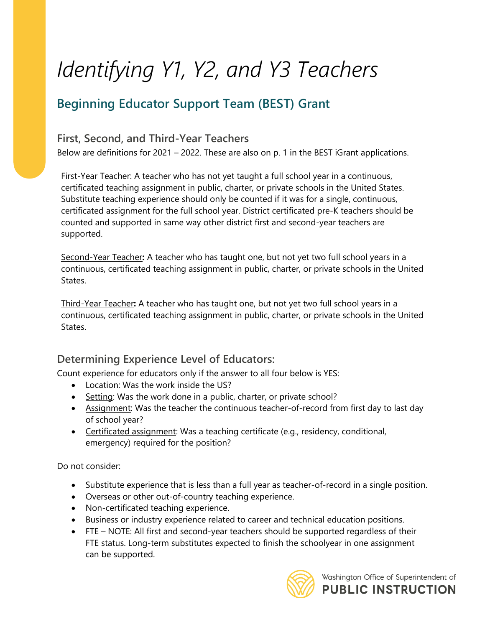# *Identifying Y1, Y2, and Y3 Teachers*

### **Beginning Educator Support Team (BEST) Grant**

#### **First, Second, and Third-Year Teachers**

Below are definitions for 2021 – 2022. These are also on p. 1 in the BEST iGrant applications.

First-Year Teacher: A teacher who has not yet taught a full school year in a continuous, certificated teaching assignment in public, charter, or private schools in the United States. Substitute teaching experience should only be counted if it was for a single, continuous, certificated assignment for the full school year. District certificated pre-K teachers should be counted and supported in same way other district first and second-year teachers are supported.

Second-Year Teacher**:** A teacher who has taught one, but not yet two full school years in a continuous, certificated teaching assignment in public, charter, or private schools in the United States.

Third-Year Teacher**:** A teacher who has taught one, but not yet two full school years in a continuous, certificated teaching assignment in public, charter, or private schools in the United States.

#### **Determining Experience Level of Educators:**

Count experience for educators only if the answer to all four below is YES:

- Location: Was the work inside the US?
- Setting: Was the work done in a public, charter, or private school?
- Assignment: Was the teacher the continuous teacher-of-record from first day to last day of school year?
- Certificated assignment: Was a teaching certificate (e.g., residency, conditional, emergency) required for the position?

Do not consider:

- Substitute experience that is less than a full year as teacher-of-record in a single position.
- Overseas or other out-of-country teaching experience.
- Non-certificated teaching experience.
- Business or industry experience related to career and technical education positions.
- FTE NOTE: All first and second-year teachers should be supported regardless of their FTE status. Long-term substitutes expected to finish the schoolyear in one assignment can be supported.